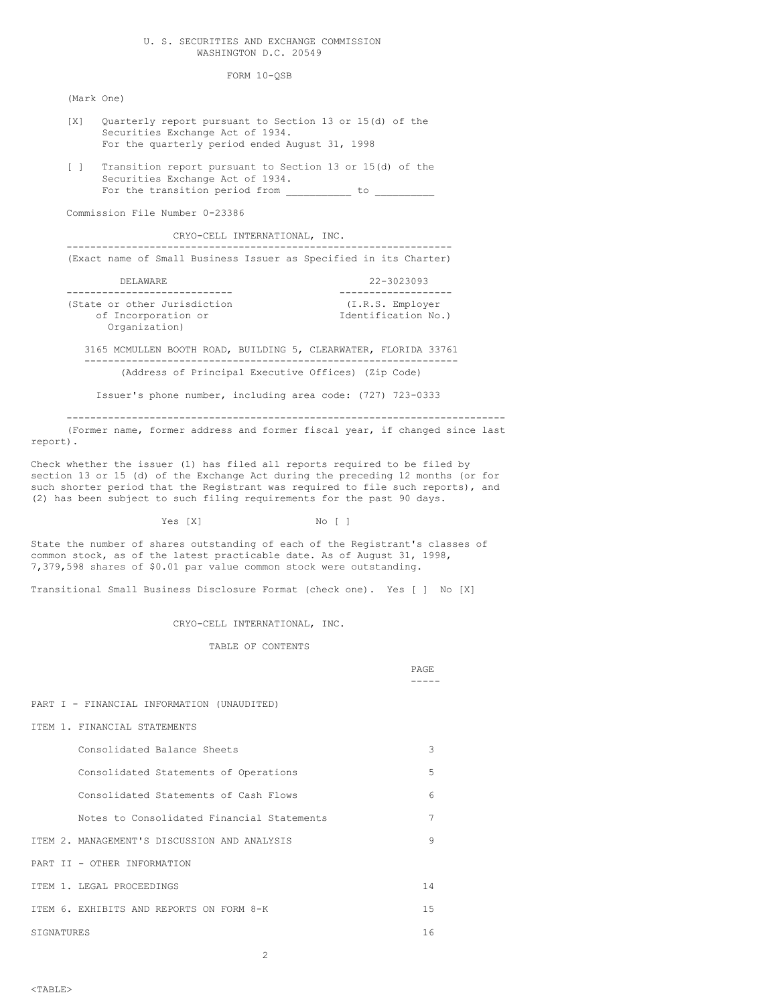### U. S. SECURITIES AND EXCHANGE COMMISSION WASHINGTON D.C. 20549

FORM 10-QSB

(Mark One)

- [X] Quarterly report pursuant to Section 13 or 15(d) of the Securities Exchange Act of 1934. For the quarterly period ended August 31, 1998
- [ ] Transition report pursuant to Section 13 or 15(d) of the Securities Exchange Act of 1934. For the transition period from to to

Commission File Number 0-23386

CRYO-CELL INTERNATIONAL, INC.

----------------------------------------------------------------- (Exact name of Small Business Issuer as Specified in its Charter)

| DELAWARE.                    | 22-3023093          |
|------------------------------|---------------------|
|                              |                     |
| (State or other Jurisdiction | (I.R.S. Employer    |
| of Incorporation or          | Identification No.) |
| Organization)                |                     |

3165 MCMULLEN BOOTH ROAD, BUILDING 5, CLEARWATER, FLORIDA 33761 --------------------------------------------------------------- (Address of Principal Executive Offices) (Zip Code)

Issuer's phone number, including area code: (727) 723-0333

-------------------------------------------------------------------------- (Former name, former address and former fiscal year, if changed since last report).

Check whether the issuer (1) has filed all reports required to be filed by section 13 or 15 (d) of the Exchange Act during the preceding 12 months (or for such shorter period that the Registrant was required to file such reports), and (2) has been subject to such filing requirements for the past 90 days.

Yes [X] No [ ]

State the number of shares outstanding of each of the Registrant's classes of common stock, as of the latest practicable date. As of August 31, 1998, 7,379,598 shares of \$0.01 par value common stock were outstanding.

Transitional Small Business Disclosure Format (check one). Yes [ ] No [X]

#### CRYO-CELL INTERNATIONAL, INC.

TABLE OF CONTENTS

PAGE -----

PART I - FINANCIAL INFORMATION (UNAUDITED)

ITEM 1. FINANCIAL STATEMENTS

| Consolidated Balance Sheets                  | 3   |
|----------------------------------------------|-----|
| Consolidated Statements of Operations        | 5   |
| Consolidated Statements of Cash Flows        | 6   |
| Notes to Consolidated Financial Statements   | 7   |
| TTEM 2. MANAGEMENT'S DISCUSSION AND ANALYSIS | 9   |
| PART II - OTHER INFORMATION                  |     |
| TTEM 1. LEGAL PROCEEDINGS                    | 14  |
| TTEM 6. EXHIBITS AND REPORTS ON FORM 8-K     | 1.5 |
| SIGNATURES                                   | 16  |

2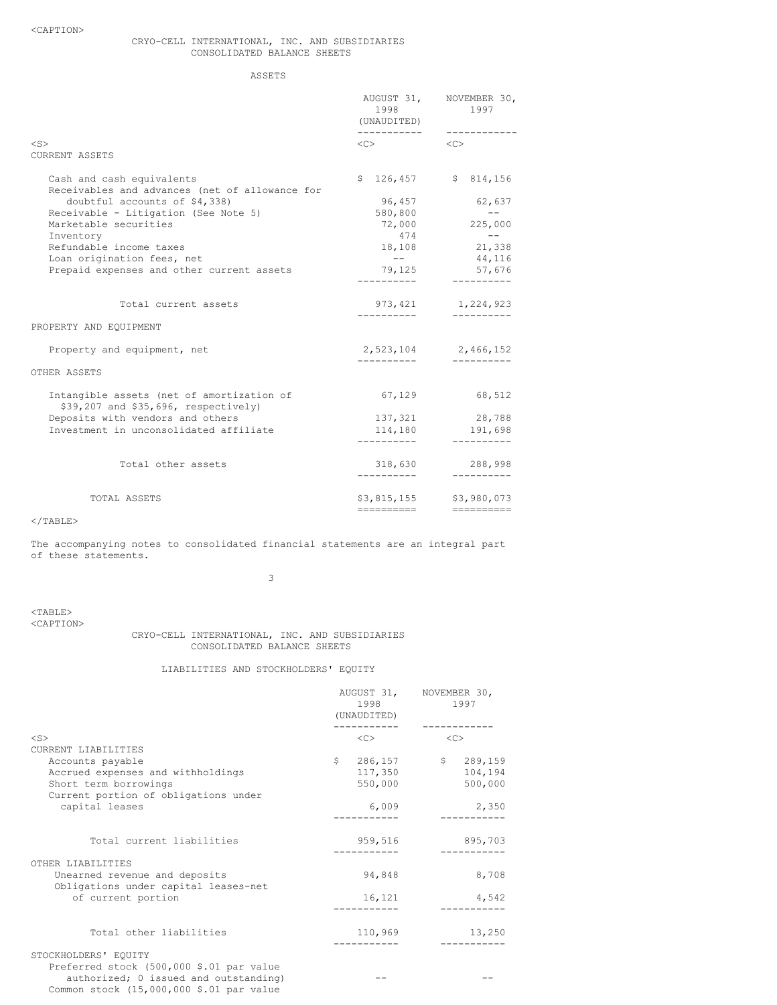# CRYO-CELL INTERNATIONAL, INC. AND SUBSIDIARIES CONSOLIDATED BALANCE SHEETS

ASSETS

|                                                                                   | 1998<br>(UNAUDITED)<br>------------ | AUGUST 31, NOVEMBER 30,<br>1997 |
|-----------------------------------------------------------------------------------|-------------------------------------|---------------------------------|
| <s></s>                                                                           | $\langle C \rangle$                 | $<<$ $>>$                       |
| CURRENT ASSETS                                                                    |                                     |                                 |
| Cash and cash equivalents<br>Receivables and advances (net of allowance for       |                                     | $$126,457$ $$814,156$           |
| doubtful accounts of \$4,338)                                                     | 96,457                              | 62,637                          |
| Receivable - Litigation (See Note 5)                                              | 580,800                             | $- - -$                         |
| Marketable securities                                                             |                                     | 72,000 225,000                  |
| Inventory                                                                         | 474                                 | $\sim$ $ -$                     |
| Refundable income taxes                                                           |                                     | 18,108 21,338                   |
| Loan origination fees, net                                                        | $- -$                               | 44,116                          |
| Prepaid expenses and other current assets                                         |                                     | 79,125 57,676                   |
|                                                                                   |                                     |                                 |
| Total current assets                                                              |                                     | 973, 421 1, 224, 923            |
| PROPERTY AND EQUIPMENT                                                            |                                     |                                 |
| Property and equipment, net                                                       |                                     | 2,523,104 2,466,152             |
| OTHER ASSETS                                                                      |                                     |                                 |
| Intangible assets (net of amortization of<br>\$39,207 and \$35,696, respectively) | 67,129                              | 68,512                          |
| Deposits with vendors and others                                                  | 137,321                             | 28,788                          |
| Investment in unconsolidated affiliate                                            | 114,180                             | 191,698                         |
|                                                                                   | -----------                         | -----------                     |
| Total other assets                                                                | 318,630<br>----------               | 288,998<br>-----------          |
| TOTAL ASSETS                                                                      |                                     | \$3,815,155 \$3,980,073         |
|                                                                                   | ==========                          |                                 |

# $<$ /TABLE>

The accompanying notes to consolidated financial statements are an integral part of these statements.

3

 $<$ TABLE>

<CAPTION>

# CRYO-CELL INTERNATIONAL, INC. AND SUBSIDIARIES CONSOLIDATED BALANCE SHEETS

# LIABILITIES AND STOCKHOLDERS' EQUITY

|                                          | 1998<br>(UNAUDITED)       | AUGUST 31, NOVEMBER 30,<br>1997 |
|------------------------------------------|---------------------------|---------------------------------|
| $<$ S>                                   | <<                        | <<                              |
| CURRENT LIABILITIES                      |                           |                                 |
| Accounts payable                         | $\mathsf{S}^-$<br>286,157 | \$289,159                       |
| Accrued expenses and withholdings        | 117,350                   | 104,194                         |
| Short term borrowings                    | 550,000                   | 500,000                         |
| Current portion of obligations under     |                           |                                 |
| capital leases                           | 6,009                     | 2,350                           |
|                                          |                           |                                 |
| Total current liabilities                | 959,516                   | 895,703                         |
|                                          |                           |                                 |
| OTHER LIABILITIES                        |                           |                                 |
| Unearned revenue and deposits            | 94,848                    | 8,708                           |
| Obligations under capital leases-net     |                           |                                 |
| of current portion                       | 16,121                    | 4,542                           |
|                                          |                           |                                 |
| Total other liabilities                  | 110,969                   | 13,250                          |
| STOCKHOLDERS' EQUITY                     |                           | ----------                      |
| Preferred stock (500,000 \$.01 par value |                           |                                 |
| authorized; 0 issued and outstanding)    |                           |                                 |
| Common stock (15,000,000 \$.01 par value |                           |                                 |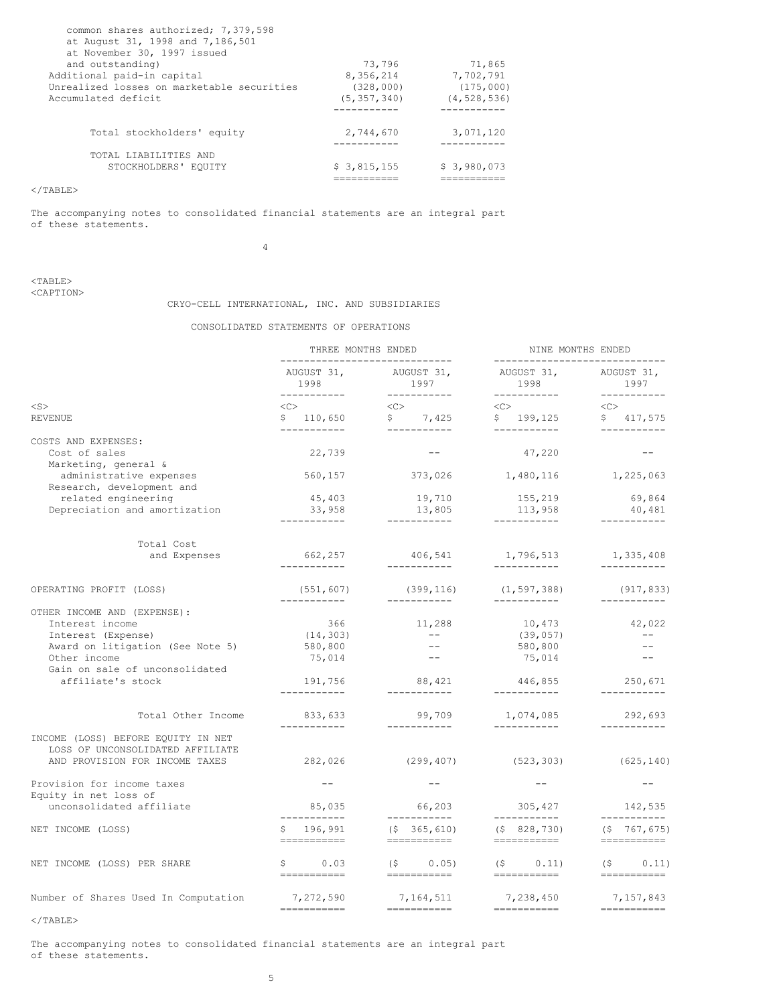| common shares authorized; 7,379,598<br>at August 31, 1998 and 7,186,501<br>at November 30, 1997 issued |               |               |
|--------------------------------------------------------------------------------------------------------|---------------|---------------|
| and outstanding)                                                                                       | 73,796        | 71,865        |
| Additional paid-in capital                                                                             | 8,356,214     | 7,702,791     |
| Unrealized losses on marketable securities                                                             | (328,000)     | (175,000)     |
| Accumulated deficit                                                                                    | (5, 357, 340) | (4, 528, 536) |
|                                                                                                        |               |               |
| Total stockholders' equity                                                                             | 2,744,670     | 3,071,120     |
| TOTAL LIABILITIES AND                                                                                  |               |               |
| STOCKHOLDERS' EOUITY                                                                                   | \$3,815,155   | \$3,980,073   |
|                                                                                                        |               |               |

 $<$ /TABLE>

The accompanying notes to consolidated financial statements are an integral part of these statements.

4

<TABLE> <CAPTION>

# CRYO-CELL INTERNATIONAL, INC. AND SUBSIDIARIES

# CONSOLIDATED STATEMENTS OF OPERATIONS

|                                                                                                                                                            | THREE MONTHS ENDED<br>_______________________________ |                                                          | NINE MONTHS ENDED<br>_______________________________     |                                                                                                                                                                                                                                                                                                                                                                                                                                                                                              |  |  |
|------------------------------------------------------------------------------------------------------------------------------------------------------------|-------------------------------------------------------|----------------------------------------------------------|----------------------------------------------------------|----------------------------------------------------------------------------------------------------------------------------------------------------------------------------------------------------------------------------------------------------------------------------------------------------------------------------------------------------------------------------------------------------------------------------------------------------------------------------------------------|--|--|
|                                                                                                                                                            | AUGUST 31,<br>1998<br>------------                    | AUGUST 31,<br>1997<br>___________                        | AUGUST 31,<br>1998<br>___________                        | AUGUST 31,<br>1997<br>___________                                                                                                                                                                                                                                                                                                                                                                                                                                                            |  |  |
| $<$ S $>$                                                                                                                                                  | <<>                                                   | <<>                                                      | <<>                                                      | <<                                                                                                                                                                                                                                                                                                                                                                                                                                                                                           |  |  |
| REVENUE                                                                                                                                                    | \$110,650<br>------------                             | \$7,425<br>___________                                   | \$199,125<br>___________                                 | $\mathsf{S}$<br>417,575<br>------------                                                                                                                                                                                                                                                                                                                                                                                                                                                      |  |  |
| COSTS AND EXPENSES:<br>Cost of sales<br>Marketing, general &                                                                                               | 22,739                                                |                                                          | 47,220                                                   |                                                                                                                                                                                                                                                                                                                                                                                                                                                                                              |  |  |
| administrative expenses<br>Research, development and                                                                                                       | 560,157                                               | 373,026                                                  | 1,480,116                                                | 1,225,063                                                                                                                                                                                                                                                                                                                                                                                                                                                                                    |  |  |
| related engineering<br>Depreciation and amortization                                                                                                       | 45,403<br>33,958<br>___________                       | 19,710<br>13,805<br>___________                          | 155,219<br>113,958<br>------------                       | 69,864<br>40,481<br>-----------                                                                                                                                                                                                                                                                                                                                                                                                                                                              |  |  |
| Total Cost<br>and Expenses                                                                                                                                 | 662,257<br>------------                               | 406,541<br>------------                                  | 1,796,513<br>------------                                | 1,335,408<br>-----------                                                                                                                                                                                                                                                                                                                                                                                                                                                                     |  |  |
| OPERATING PROFIT (LOSS)                                                                                                                                    | (551, 607)                                            | (399, 116)                                               | (1, 597, 388)                                            | (917, 833)                                                                                                                                                                                                                                                                                                                                                                                                                                                                                   |  |  |
| OTHER INCOME AND (EXPENSE):<br>Interest income<br>Interest (Expense)<br>Award on litigation (See Note 5)<br>Other income<br>Gain on sale of unconsolidated | ------------<br>366<br>(14, 303)<br>580,800<br>75,014 | ------------<br>11,288<br>$\sim$ $  -$<br>$- -$<br>$- -$ | ------------<br>10,473<br>(39, 057)<br>580,800<br>75,014 | ------------<br>42,022<br>$- -$<br>$- -$<br>$\qquad \qquad -$                                                                                                                                                                                                                                                                                                                                                                                                                                |  |  |
| affiliate's stock                                                                                                                                          | 191,756<br>-----------                                | 88,421<br>-----------                                    | 446,855<br>-----------                                   | 250,671<br>-----------                                                                                                                                                                                                                                                                                                                                                                                                                                                                       |  |  |
| Total Other Income<br>INCOME (LOSS) BEFORE EQUITY IN NET<br>LOSS OF UNCONSOLIDATED AFFILIATE<br>AND PROVISION FOR INCOME TAXES                             | 833,633<br>------------<br>282,026                    | 99,709<br>___________                                    | 1,074,085<br>------------<br>$(299, 407)$ (523,303)      | 292,693<br>-----------<br>(625, 140)                                                                                                                                                                                                                                                                                                                                                                                                                                                         |  |  |
| Provision for income taxes<br>Equity in net loss of                                                                                                        |                                                       |                                                          | $--$                                                     | $ -$                                                                                                                                                                                                                                                                                                                                                                                                                                                                                         |  |  |
| unconsolidated affiliate                                                                                                                                   | 85,035                                                | 66,203<br>------------                                   | 305,427                                                  | 142,535                                                                                                                                                                                                                                                                                                                                                                                                                                                                                      |  |  |
| NET INCOME (LOSS)                                                                                                                                          | -----------<br>\$196,991<br>===========               | $($ \$365,610)<br>===========                            | ------------<br>$($ \$828,730)<br>===========            | -----------<br>$(5 \t 767, 675)$                                                                                                                                                                                                                                                                                                                                                                                                                                                             |  |  |
| NET INCOME (LOSS) PER SHARE                                                                                                                                | \$0.03<br>------------                                | $(S \t 0.05)$<br>------------                            | $(S \t 0.11)$<br>-----------                             | $(S -$<br>0.11)<br>$=$ ===========                                                                                                                                                                                                                                                                                                                                                                                                                                                           |  |  |
| Number of Shares Used In Computation                                                                                                                       | 7,272,590<br>===========                              | 7,164,511                                                | 7,238,450<br>===========                                 | 7,157,843<br>$\begin{tabular}{lllllllllll} \multicolumn{2}{l}{} & \multicolumn{2}{l}{} & \multicolumn{2}{l}{} & \multicolumn{2}{l}{} & \multicolumn{2}{l}{} & \multicolumn{2}{l}{} & \multicolumn{2}{l}{} & \multicolumn{2}{l}{} & \multicolumn{2}{l}{} & \multicolumn{2}{l}{} & \multicolumn{2}{l}{} & \multicolumn{2}{l}{} & \multicolumn{2}{l}{} & \multicolumn{2}{l}{} & \multicolumn{2}{l}{} & \multicolumn{2}{l}{} & \multicolumn{2}{l}{} & \multicolumn{2}{l}{} & \multicolumn{2}{l}$ |  |  |
|                                                                                                                                                            |                                                       |                                                          |                                                          |                                                                                                                                                                                                                                                                                                                                                                                                                                                                                              |  |  |

 $<$ /TABLE $>$ 

The accompanying notes to consolidated financial statements are an integral part of these statements.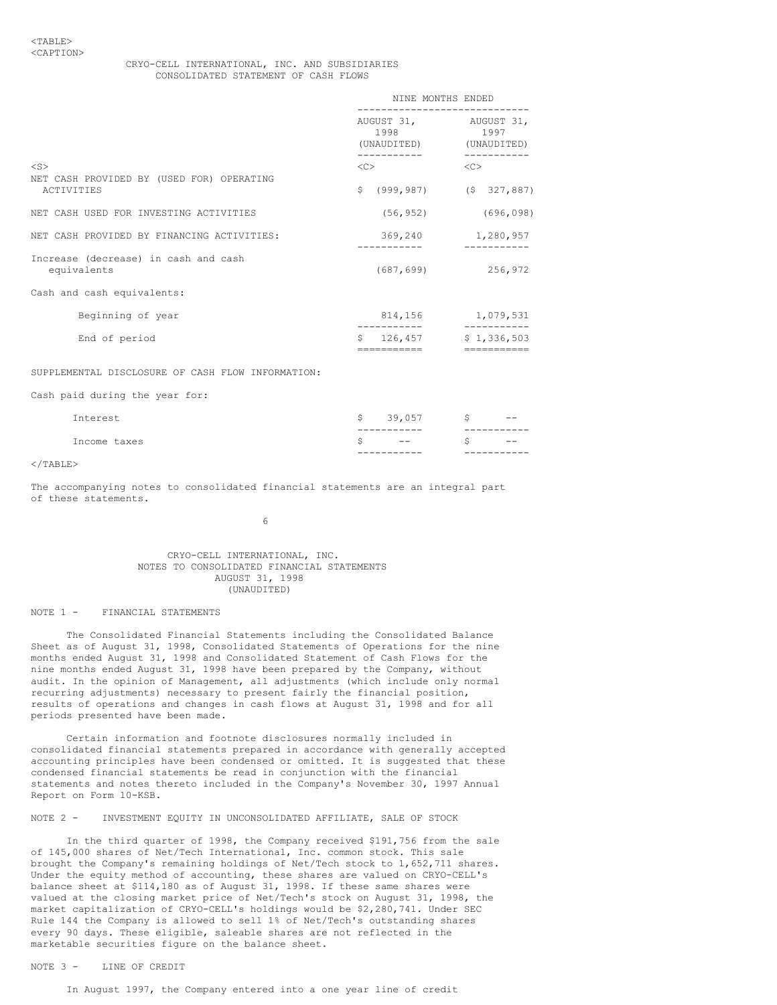# CRYO-CELL INTERNATIONAL, INC. AND SUBSIDIARIES CONSOLIDATED STATEMENT OF CASH FLOWS

|                                                        | NINE MONTHS ENDED                            |                              |  |
|--------------------------------------------------------|----------------------------------------------|------------------------------|--|
|                                                        | AUGUST 31, AUGUST 31,<br>1998<br>(UNAUDITED) | 1997<br>(UNAUDITED)          |  |
| $<$ S $>$<br>NET CASH PROVIDED BY (USED FOR) OPERATING | <<                                           | <<                           |  |
| ACTIVITIES                                             | Ŝ.                                           | $(999, 987)$ $(5, 327, 887)$ |  |
| NET CASH USED FOR INVESTING ACTIVITIES                 | (56, 952)                                    | (696, 098)                   |  |
| NET CASH PROVIDED BY FINANCING ACTIVITIES:             | 369,240                                      | 1,280,957                    |  |
| Increase (decrease) in cash and cash<br>equivalents    | (687, 699)                                   | 256,972                      |  |
| Cash and cash equivalents:                             |                                              |                              |  |
| Beginning of year                                      | 814,156                                      | 1,079,531                    |  |
| End of period                                          | Ŝ.<br>126,457                                | \$1,336,503                  |  |
|                                                        |                                              |                              |  |

# SUPPLEMENTAL DISCLOSURE OF CASH FLOW INFORMATION:

Cash paid during the year for:

| Interest     | S. | 39,057                | - 5 | $- -$       |
|--------------|----|-----------------------|-----|-------------|
|              |    | -----------           |     |             |
| Income taxes |    | $-  -$<br>___________ | S.  | $- -$<br>-- |
|              |    |                       |     |             |

#### $\langle$ /TABLE>

The accompanying notes to consolidated financial statements are an integral part of these statements.

6

### CRYO-CELL INTERNATIONAL, INC. NOTES TO CONSOLIDATED FINANCIAL STATEMENTS AUGUST 31, 1998 (UNAUDITED)

#### NOTE 1 - FINANCIAL STATEMENTS

The Consolidated Financial Statements including the Consolidated Balance Sheet as of August 31, 1998, Consolidated Statements of Operations for the nine months ended August 31, 1998 and Consolidated Statement of Cash Flows for the nine months ended August 31, 1998 have been prepared by the Company, without audit. In the opinion of Management, all adjustments (which include only normal recurring adjustments) necessary to present fairly the financial position, results of operations and changes in cash flows at August 31, 1998 and for all periods presented have been made.

Certain information and footnote disclosures normally included in consolidated financial statements prepared in accordance with generally accepted accounting principles have been condensed or omitted. It is suggested that these condensed financial statements be read in conjunction with the financial statements and notes thereto included in the Company's November 30, 1997 Annual Report on Form 10-KSB.

# NOTE 2 - INVESTMENT EQUITY IN UNCONSOLIDATED AFFILIATE, SALE OF STOCK

In the third quarter of 1998, the Company received \$191,756 from the sale of 145,000 shares of Net/Tech International, Inc. common stock. This sale brought the Company's remaining holdings of Net/Tech stock to 1,652,711 shares. Under the equity method of accounting, these shares are valued on CRYO-CELL's balance sheet at \$114,180 as of August 31, 1998. If these same shares were valued at the closing market price of Net/Tech's stock on August 31, 1998, the market capitalization of CRYO-CELL's holdings would be \$2,280,741. Under SEC Rule 144 the Company is allowed to sell 1% of Net/Tech's outstanding shares every 90 days. These eligible, saleable shares are not reflected in the marketable securities figure on the balance sheet.

NOTE 3 - LINE OF CREDIT

In August 1997, the Company entered into a one year line of credit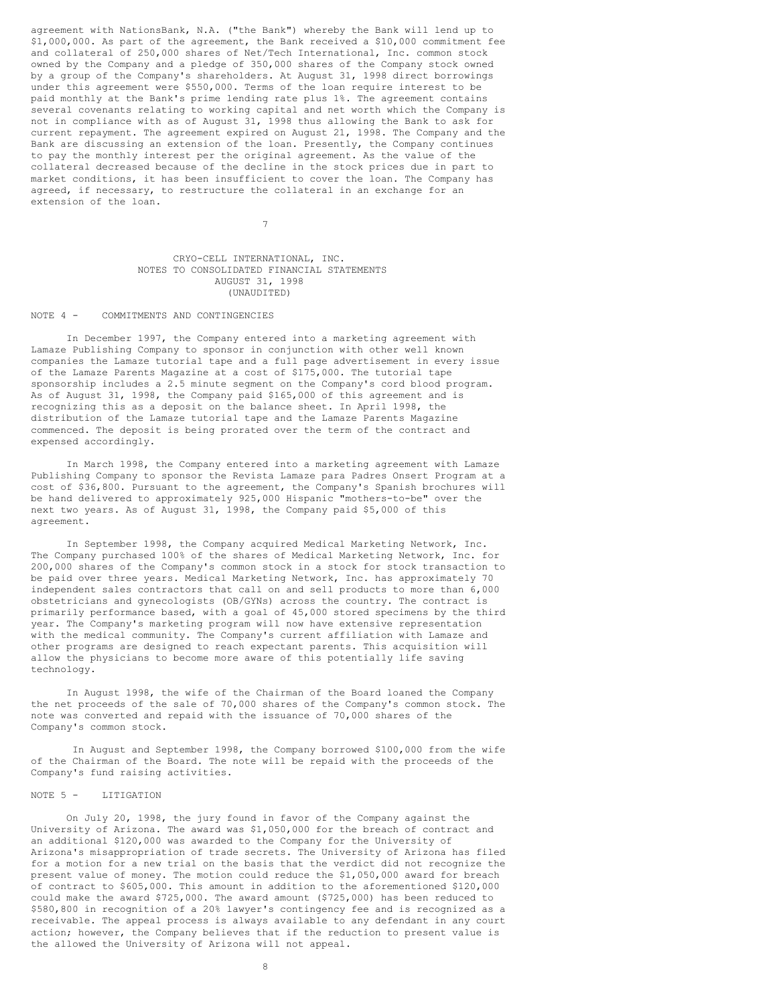agreement with NationsBank, N.A. ("the Bank") whereby the Bank will lend up to \$1,000,000. As part of the agreement, the Bank received a \$10,000 commitment fee and collateral of 250,000 shares of Net/Tech International, Inc. common stock owned by the Company and a pledge of 350,000 shares of the Company stock owned by a group of the Company's shareholders. At August 31, 1998 direct borrowings under this agreement were \$550,000. Terms of the loan require interest to be paid monthly at the Bank's prime lending rate plus 1%. The agreement contains several covenants relating to working capital and net worth which the Company is not in compliance with as of August 31, 1998 thus allowing the Bank to ask for current repayment. The agreement expired on August 21, 1998. The Company and the Bank are discussing an extension of the loan. Presently, the Company continues to pay the monthly interest per the original agreement. As the value of the collateral decreased because of the decline in the stock prices due in part to market conditions, it has been insufficient to cover the loan. The Company has agreed, if necessary, to restructure the collateral in an exchange for an extension of the loan.

### CRYO-CELL INTERNATIONAL, INC. NOTES TO CONSOLIDATED FINANCIAL STATEMENTS AUGUST 31, 1998 (UNAUDITED)

7

#### NOTE 4 - COMMITMENTS AND CONTINGENCIES

In December 1997, the Company entered into a marketing agreement with Lamaze Publishing Company to sponsor in conjunction with other well known companies the Lamaze tutorial tape and a full page advertisement in every issue of the Lamaze Parents Magazine at a cost of \$175,000. The tutorial tape sponsorship includes a 2.5 minute segment on the Company's cord blood program. As of August 31, 1998, the Company paid \$165,000 of this agreement and is recognizing this as a deposit on the balance sheet. In April 1998, the distribution of the Lamaze tutorial tape and the Lamaze Parents Magazine commenced. The deposit is being prorated over the term of the contract and expensed accordingly.

In March 1998, the Company entered into a marketing agreement with Lamaze Publishing Company to sponsor the Revista Lamaze para Padres Onsert Program at a cost of \$36,800. Pursuant to the agreement, the Company's Spanish brochures will be hand delivered to approximately 925,000 Hispanic "mothers-to-be" over the next two years. As of August 31, 1998, the Company paid \$5,000 of this agreement.

In September 1998, the Company acquired Medical Marketing Network, Inc. The Company purchased 100% of the shares of Medical Marketing Network, Inc. for 200,000 shares of the Company's common stock in a stock for stock transaction to be paid over three years. Medical Marketing Network, Inc. has approximately 70 independent sales contractors that call on and sell products to more than 6,000 obstetricians and gynecologists (OB/GYNs) across the country. The contract is primarily performance based, with a goal of 45,000 stored specimens by the third year. The Company's marketing program will now have extensive representation with the medical community. The Company's current affiliation with Lamaze and other programs are designed to reach expectant parents. This acquisition will allow the physicians to become more aware of this potentially life saving technology.

In August 1998, the wife of the Chairman of the Board loaned the Company the net proceeds of the sale of 70,000 shares of the Company's common stock. The note was converted and repaid with the issuance of 70,000 shares of the Company's common stock.

In August and September 1998, the Company borrowed \$100,000 from the wife of the Chairman of the Board. The note will be repaid with the proceeds of the Company's fund raising activities.

# NOTE 5 - LITIGATION

On July 20, 1998, the jury found in favor of the Company against the University of Arizona. The award was \$1,050,000 for the breach of contract and an additional \$120,000 was awarded to the Company for the University of Arizona's misappropriation of trade secrets. The University of Arizona has filed for a motion for a new trial on the basis that the verdict did not recognize the present value of money. The motion could reduce the \$1,050,000 award for breach of contract to \$605,000. This amount in addition to the aforementioned \$120,000 could make the award \$725,000. The award amount (\$725,000) has been reduced to \$580,800 in recognition of a 20% lawyer's contingency fee and is recognized as a receivable. The appeal process is always available to any defendant in any court action; however, the Company believes that if the reduction to present value is the allowed the University of Arizona will not appeal.

8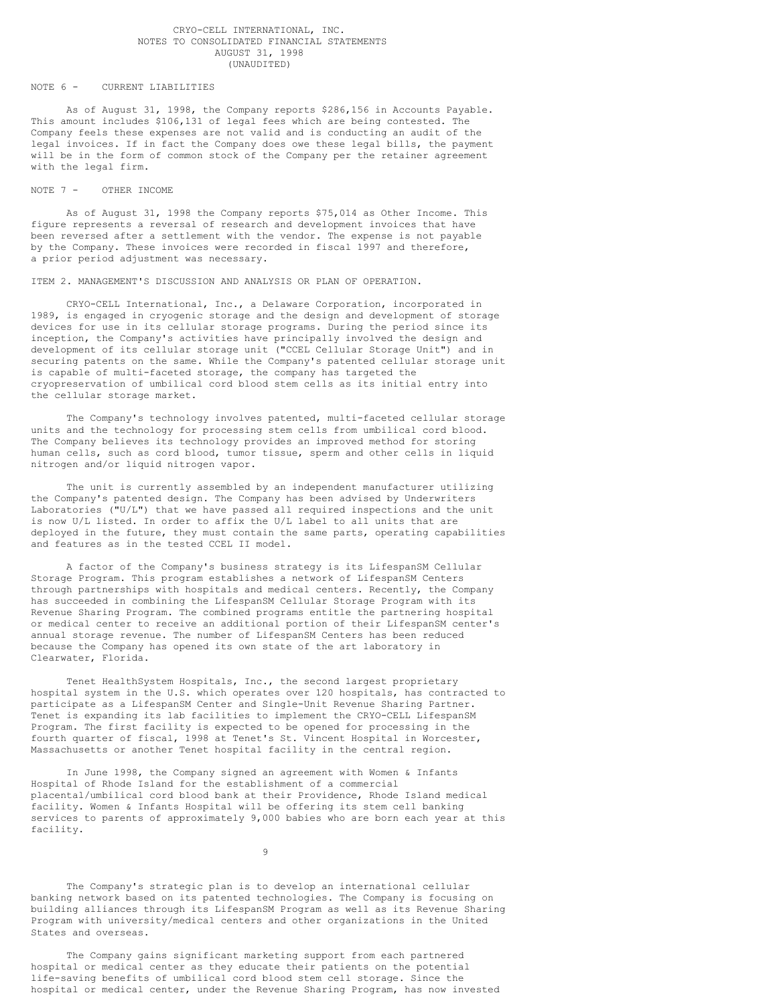### CRYO-CELL INTERNATIONAL, INC. NOTES TO CONSOLIDATED FINANCIAL STATEMENTS AUGUST 31, 1998 (UNAUDITED)

### NOTE 6 - CURRENT LIABILITIES

As of August 31, 1998, the Company reports \$286,156 in Accounts Payable. This amount includes \$106,131 of legal fees which are being contested. The Company feels these expenses are not valid and is conducting an audit of the legal invoices. If in fact the Company does owe these legal bills, the payment will be in the form of common stock of the Company per the retainer agreement with the legal firm.

#### NOTE 7 - OTHER INCOME

As of August 31, 1998 the Company reports \$75,014 as Other Income. This figure represents a reversal of research and development invoices that have been reversed after a settlement with the vendor. The expense is not payable by the Company. These invoices were recorded in fiscal 1997 and therefore, a prior period adjustment was necessary.

ITEM 2. MANAGEMENT'S DISCUSSION AND ANALYSIS OR PLAN OF OPERATION.

CRYO-CELL International, Inc., a Delaware Corporation, incorporated in 1989, is engaged in cryogenic storage and the design and development of storage devices for use in its cellular storage programs. During the period since its inception, the Company's activities have principally involved the design and development of its cellular storage unit ("CCEL Cellular Storage Unit") and in securing patents on the same. While the Company's patented cellular storage unit is capable of multi-faceted storage, the company has targeted the cryopreservation of umbilical cord blood stem cells as its initial entry into the cellular storage market.

The Company's technology involves patented, multi-faceted cellular storage units and the technology for processing stem cells from umbilical cord blood. The Company believes its technology provides an improved method for storing human cells, such as cord blood, tumor tissue, sperm and other cells in liquid nitrogen and/or liquid nitrogen vapor.

The unit is currently assembled by an independent manufacturer utilizing the Company's patented design. The Company has been advised by Underwriters Laboratories ("U/L") that we have passed all required inspections and the unit is now U/L listed. In order to affix the U/L label to all units that are deployed in the future, they must contain the same parts, operating capabilities and features as in the tested CCEL II model.

A factor of the Company's business strategy is its LifespanSM Cellular Storage Program. This program establishes a network of LifespanSM Centers through partnerships with hospitals and medical centers. Recently, the Company has succeeded in combining the LifespanSM Cellular Storage Program with its Revenue Sharing Program. The combined programs entitle the partnering hospital or medical center to receive an additional portion of their LifespanSM center's annual storage revenue. The number of LifespanSM Centers has been reduced because the Company has opened its own state of the art laboratory in Clearwater, Florida.

Tenet HealthSystem Hospitals, Inc., the second largest proprietary hospital system in the U.S. which operates over 120 hospitals, has contracted to participate as a LifespanSM Center and Single-Unit Revenue Sharing Partner. Tenet is expanding its lab facilities to implement the CRYO-CELL LifespanSM Program. The first facility is expected to be opened for processing in the fourth quarter of fiscal, 1998 at Tenet's St. Vincent Hospital in Worcester, Massachusetts or another Tenet hospital facility in the central region.

In June 1998, the Company signed an agreement with Women & Infants Hospital of Rhode Island for the establishment of a commercial placental/umbilical cord blood bank at their Providence, Rhode Island medical facility. Women & Infants Hospital will be offering its stem cell banking services to parents of approximately 9,000 babies who are born each year at this facility.

9

The Company's strategic plan is to develop an international cellular banking network based on its patented technologies. The Company is focusing on building alliances through its LifespanSM Program as well as its Revenue Sharing Program with university/medical centers and other organizations in the United States and overseas.

The Company gains significant marketing support from each partnered hospital or medical center as they educate their patients on the potential life-saving benefits of umbilical cord blood stem cell storage. Since the hospital or medical center, under the Revenue Sharing Program, has now invested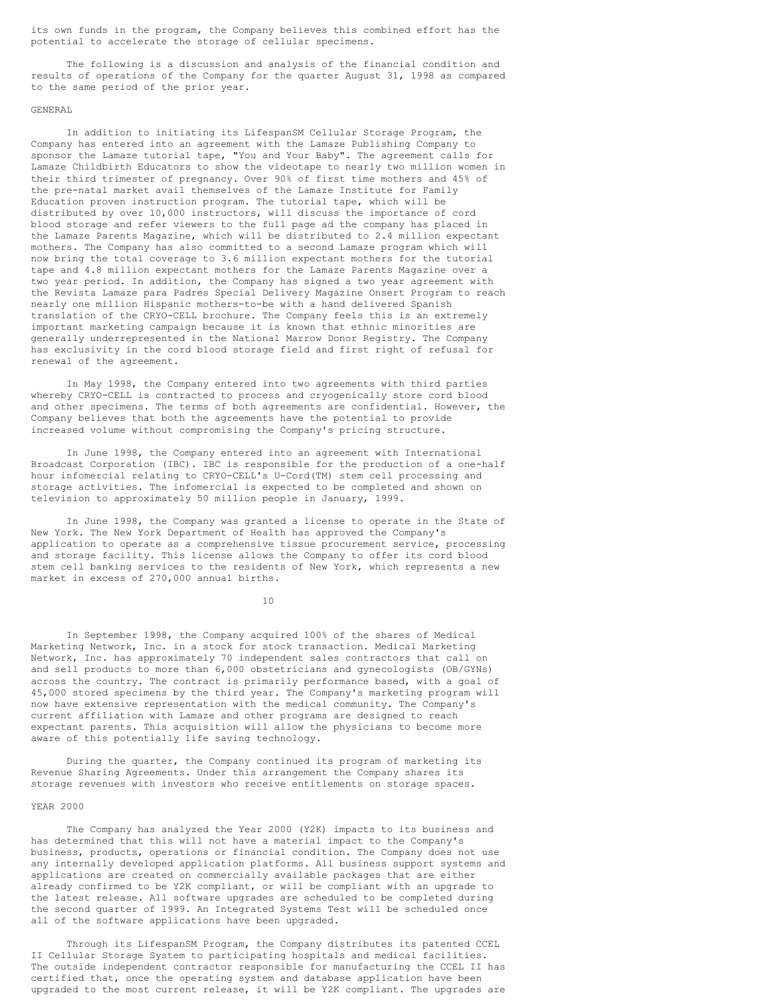its own funds in the program, the Company believes this combined effort has the potential to accelerate the storage of cellular specimens.

The following is a discussion and analysis of the financial condition and results of operations of the Company for the quarter August 31, 1998 as compared to the same period of the prior year.

# GENERAL

In addition to initiating its LifespanSM Cellular Storage Program, the Company has entered into an agreement with the Lamaze Publishing Company to sponsor the Lamaze tutorial tape, "You and Your Baby". The agreement calls for Lamaze Childbirth Educators to show the videotape to nearly two million women in their third trimester of pregnancy. Over 90% of first time mothers and 45% of the pre-natal market avail themselves of the Lamaze Institute for Family Education proven instruction program. The tutorial tape, which will be distributed by over 10,000 instructors, will discuss the importance of cord blood storage and refer viewers to the full page ad the company has placed in the Lamaze Parents Magazine, which will be distributed to 2.4 million expectant mothers. The Company has also committed to a second Lamaze program which will now bring the total coverage to 3.6 million expectant mothers for the tutorial tape and 4.8 million expectant mothers for the Lamaze Parents Magazine over a two year period. In addition, the Company has signed a two year agreement with the Revista Lamaze para Padres Special Delivery Magazine Onsert Program to reach nearly one million Hispanic mothers-to-be with a hand delivered Spanish translation of the CRYO-CELL brochure. The Company feels this is an extremely important marketing campaign because it is known that ethnic minorities are generally underrepresented in the National Marrow Donor Registry. The Company has exclusivity in the cord blood storage field and first right of refusal for renewal of the agreement.

In May 1998, the Company entered into two agreements with third parties whereby CRYO-CELL is contracted to process and cryogenically store cord blood and other specimens. The terms of both agreements are confidential. However, the Company believes that both the agreements have the potential to provide increased volume without compromising the Company's pricing structure.

In June 1998, the Company entered into an agreement with International Broadcast Corporation (IBC). IBC is responsible for the production of a one-half hour infomercial relating to CRYO-CELL's U-Cord(TM) stem cell processing and storage activities. The infomercial is expected to be completed and shown on television to approximately 50 million people in January, 1999.

In June 1998, the Company was granted a license to operate in the State of New York. The New York Department of Health has approved the Company's application to operate as a comprehensive tissue procurement service, processing and storage facility. This license allows the Company to offer its cord blood stem cell banking services to the residents of New York, which represents a new market in excess of 270,000 annual births.

10

In September 1998, the Company acquired 100% of the shares of Medical Marketing Network, Inc. in a stock for stock transaction. Medical Marketing Network, Inc. has approximately 70 independent sales contractors that call on and sell products to more than 6,000 obstetricians and gynecologists (OB/GYNs) across the country. The contract is primarily performance based, with a goal of 45,000 stored specimens by the third year. The Company's marketing program will now have extensive representation with the medical community. The Company's current affiliation with Lamaze and other programs are designed to reach expectant parents. This acquisition will allow the physicians to become more aware of this potentially life saving technology.

During the quarter, the Company continued its program of marketing its Revenue Sharing Agreements. Under this arrangement the Company shares its storage revenues with investors who receive entitlements on storage spaces.

#### YEAR 2000

The Company has analyzed the Year 2000 (Y2K) impacts to its business and has determined that this will not have a material impact to the Company's business, products, operations or financial condition. The Company does not use any internally developed application platforms. All business support systems and applications are created on commercially available packages that are either already confirmed to be Y2K compliant, or will be compliant with an upgrade to the latest release. All software upgrades are scheduled to be completed during the second quarter of 1999. An Integrated Systems Test will be scheduled once all of the software applications have been upgraded.

Through its LifespanSM Program, the Company distributes its patented CCEL II Cellular Storage System to participating hospitals and medical facilities. The outside independent contractor responsible for manufacturing the CCEL II has certified that, once the operating system and database application have been upgraded to the most current release, it will be Y2K compliant. The upgrades are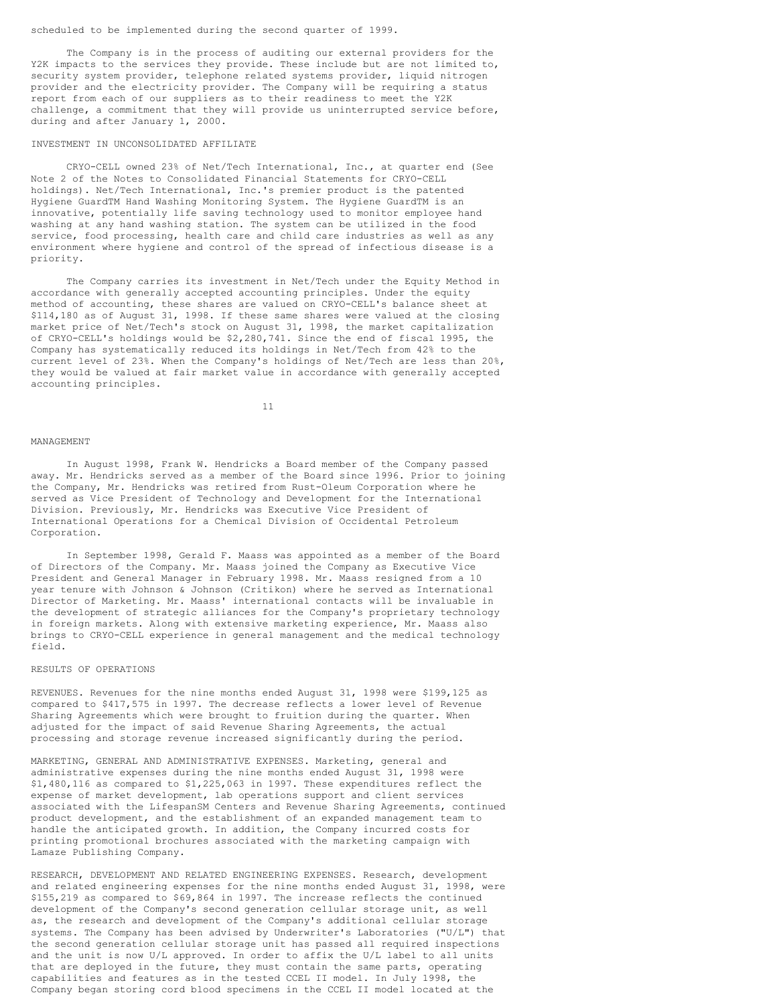scheduled to be implemented during the second quarter of 1999.

The Company is in the process of auditing our external providers for the Y2K impacts to the services they provide. These include but are not limited to, security system provider, telephone related systems provider, liquid nitrogen provider and the electricity provider. The Company will be requiring a status report from each of our suppliers as to their readiness to meet the Y2K challenge, a commitment that they will provide us uninterrupted service before, during and after January 1, 2000.

### INVESTMENT IN UNCONSOLIDATED AFFILIATE

CRYO-CELL owned 23% of Net/Tech International, Inc., at quarter end (See Note 2 of the Notes to Consolidated Financial Statements for CRYO-CELL holdings). Net/Tech International, Inc.'s premier product is the patented Hygiene GuardTM Hand Washing Monitoring System. The Hygiene GuardTM is an innovative, potentially life saving technology used to monitor employee hand washing at any hand washing station. The system can be utilized in the food service, food processing, health care and child care industries as well as any environment where hygiene and control of the spread of infectious disease is a priority.

The Company carries its investment in Net/Tech under the Equity Method in accordance with generally accepted accounting principles. Under the equity method of accounting, these shares are valued on CRYO-CELL's balance sheet at \$114,180 as of August 31, 1998. If these same shares were valued at the closing market price of Net/Tech's stock on August 31, 1998, the market capitalization of CRYO-CELL's holdings would be \$2,280,741. Since the end of fiscal 1995, the Company has systematically reduced its holdings in Net/Tech from 42% to the current level of 23%. When the Company's holdings of Net/Tech are less than 20%, they would be valued at fair market value in accordance with generally accepted accounting principles.

11

#### MANAGEMENT

In August 1998, Frank W. Hendricks a Board member of the Company passed away. Mr. Hendricks served as a member of the Board since 1996. Prior to joining the Company, Mr. Hendricks was retired from Rust-Oleum Corporation where he served as Vice President of Technology and Development for the International Division. Previously, Mr. Hendricks was Executive Vice President of International Operations for a Chemical Division of Occidental Petroleum Corporation.

In September 1998, Gerald F. Maass was appointed as a member of the Board of Directors of the Company. Mr. Maass joined the Company as Executive Vice President and General Manager in February 1998. Mr. Maass resigned from a 10 year tenure with Johnson & Johnson (Critikon) where he served as International Director of Marketing. Mr. Maass' international contacts will be invaluable in the development of strategic alliances for the Company's proprietary technology in foreign markets. Along with extensive marketing experience, Mr. Maass also brings to CRYO-CELL experience in general management and the medical technology field.

# RESULTS OF OPERATIONS

REVENUES. Revenues for the nine months ended August 31, 1998 were \$199,125 as compared to \$417,575 in 1997. The decrease reflects a lower level of Revenue Sharing Agreements which were brought to fruition during the quarter. When adjusted for the impact of said Revenue Sharing Agreements, the actual processing and storage revenue increased significantly during the period.

MARKETING, GENERAL AND ADMINISTRATIVE EXPENSES. Marketing, general and administrative expenses during the nine months ended August 31, 1998 were \$1,480,116 as compared to \$1,225,063 in 1997. These expenditures reflect the expense of market development, lab operations support and client services associated with the LifespanSM Centers and Revenue Sharing Agreements, continued product development, and the establishment of an expanded management team to handle the anticipated growth. In addition, the Company incurred costs for printing promotional brochures associated with the marketing campaign with Lamaze Publishing Company.

RESEARCH, DEVELOPMENT AND RELATED ENGINEERING EXPENSES. Research, development and related engineering expenses for the nine months ended August 31, 1998, were \$155,219 as compared to \$69,864 in 1997. The increase reflects the continued development of the Company's second generation cellular storage unit, as well as, the research and development of the Company's additional cellular storage systems. The Company has been advised by Underwriter's Laboratories ("U/L") that the second generation cellular storage unit has passed all required inspections and the unit is now U/L approved. In order to affix the U/L label to all units that are deployed in the future, they must contain the same parts, operating capabilities and features as in the tested CCEL II model. In July 1998, the Company began storing cord blood specimens in the CCEL II model located at the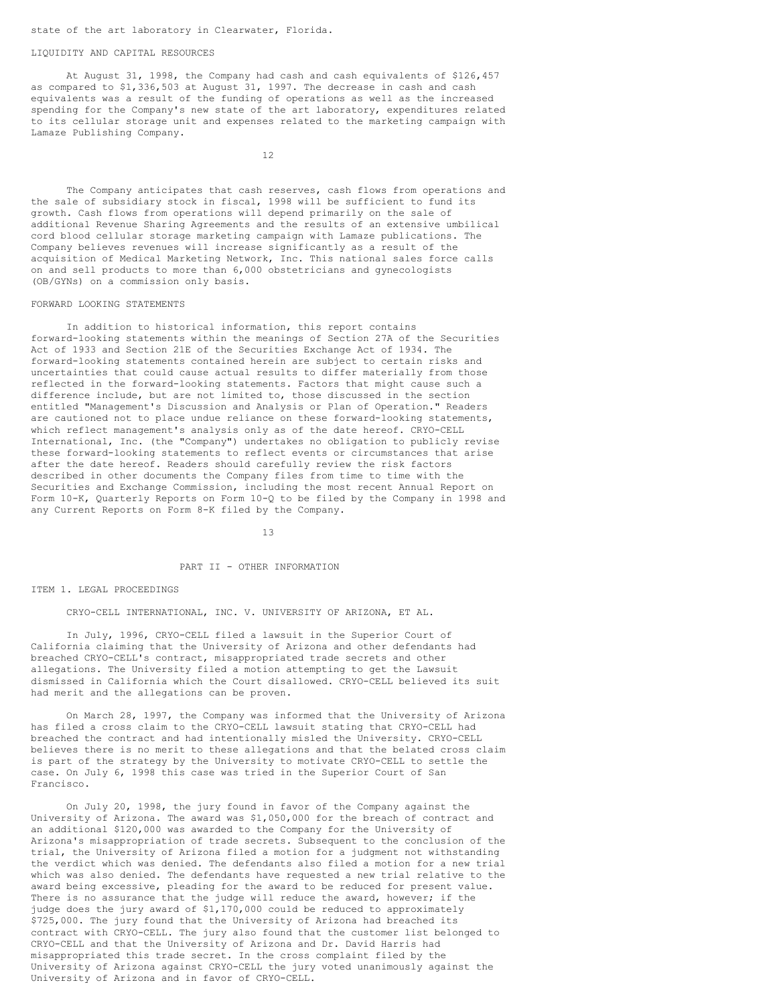### state of the art laboratory in Clearwater, Florida.

#### LIQUIDITY AND CAPITAL RESOURCES

At August 31, 1998, the Company had cash and cash equivalents of \$126,457 as compared to \$1,336,503 at August 31, 1997. The decrease in cash and cash equivalents was a result of the funding of operations as well as the increased spending for the Company's new state of the art laboratory, expenditures related to its cellular storage unit and expenses related to the marketing campaign with Lamaze Publishing Company.

12

The Company anticipates that cash reserves, cash flows from operations and the sale of subsidiary stock in fiscal, 1998 will be sufficient to fund its growth. Cash flows from operations will depend primarily on the sale of additional Revenue Sharing Agreements and the results of an extensive umbilical cord blood cellular storage marketing campaign with Lamaze publications. The Company believes revenues will increase significantly as a result of the acquisition of Medical Marketing Network, Inc. This national sales force calls on and sell products to more than 6,000 obstetricians and gynecologists (OB/GYNs) on a commission only basis.

#### FORWARD LOOKING STATEMENTS

In addition to historical information, this report contains forward-looking statements within the meanings of Section 27A of the Securities Act of 1933 and Section 21E of the Securities Exchange Act of 1934. The forward-looking statements contained herein are subject to certain risks and uncertainties that could cause actual results to differ materially from those reflected in the forward-looking statements. Factors that might cause such a difference include, but are not limited to, those discussed in the section entitled "Management's Discussion and Analysis or Plan of Operation." Readers are cautioned not to place undue reliance on these forward-looking statements, which reflect management's analysis only as of the date hereof. CRYO-CELL International, Inc. (the "Company") undertakes no obligation to publicly revise these forward-looking statements to reflect events or circumstances that arise after the date hereof. Readers should carefully review the risk factors described in other documents the Company files from time to time with the Securities and Exchange Commission, including the most recent Annual Report on Form 10-K, Quarterly Reports on Form 10-Q to be filed by the Company in 1998 and any Current Reports on Form 8-K filed by the Company.

13

# PART II - OTHER INFORMATION

#### ITEM 1. LEGAL PROCEEDINGS

CRYO-CELL INTERNATIONAL, INC. V. UNIVERSITY OF ARIZONA, ET AL.

In July, 1996, CRYO-CELL filed a lawsuit in the Superior Court of California claiming that the University of Arizona and other defendants had breached CRYO-CELL's contract, misappropriated trade secrets and other allegations. The University filed a motion attempting to get the Lawsuit dismissed in California which the Court disallowed. CRYO-CELL believed its suit had merit and the allegations can be proven.

On March 28, 1997, the Company was informed that the University of Arizona has filed a cross claim to the CRYO-CELL lawsuit stating that CRYO-CELL had breached the contract and had intentionally misled the University. CRYO-CELL believes there is no merit to these allegations and that the belated cross claim is part of the strategy by the University to motivate CRYO-CELL to settle the case. On July 6, 1998 this case was tried in the Superior Court of San Francisco.

On July 20, 1998, the jury found in favor of the Company against the University of Arizona. The award was \$1,050,000 for the breach of contract and an additional \$120,000 was awarded to the Company for the University of Arizona's misappropriation of trade secrets. Subsequent to the conclusion of the trial, the University of Arizona filed a motion for a judgment not withstanding the verdict which was denied. The defendants also filed a motion for a new trial which was also denied. The defendants have requested a new trial relative to the award being excessive, pleading for the award to be reduced for present value. There is no assurance that the judge will reduce the award, however; if the judge does the jury award of \$1,170,000 could be reduced to approximately \$725,000. The jury found that the University of Arizona had breached its contract with CRYO-CELL. The jury also found that the customer list belonged to CRYO-CELL and that the University of Arizona and Dr. David Harris had misappropriated this trade secret. In the cross complaint filed by the University of Arizona against CRYO-CELL the jury voted unanimously against the University of Arizona and in favor of CRYO-CELL.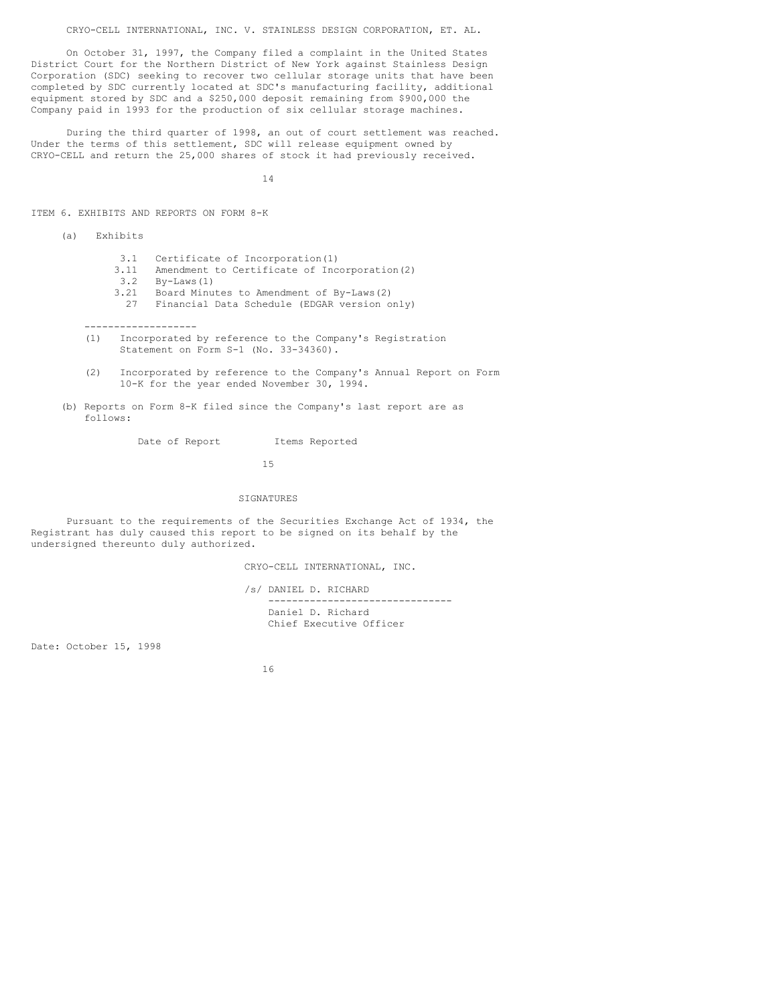CRYO-CELL INTERNATIONAL, INC. V. STAINLESS DESIGN CORPORATION, ET. AL.

On October 31, 1997, the Company filed a complaint in the United States District Court for the Northern District of New York against Stainless Design Corporation (SDC) seeking to recover two cellular storage units that have been completed by SDC currently located at SDC's manufacturing facility, additional equipment stored by SDC and a \$250,000 deposit remaining from \$900,000 the Company paid in 1993 for the production of six cellular storage machines.

During the third quarter of 1998, an out of court settlement was reached. Under the terms of this settlement, SDC will release equipment owned by CRYO-CELL and return the 25,000 shares of stock it had previously received.

14

ITEM 6. EXHIBITS AND REPORTS ON FORM 8-K

(a) Exhibits

- 3.1 Certificate of Incorporation(1)
- 3.11 Amendment to Certificate of Incorporation(2)
- 

-------------------

- 3.2 By-Laws(1)  $\frac{2}{3}$   $\frac{2}{3}$   $\frac{2}{3}$  Board Minutes to Amendment of By-Laws(2)
	- 27 Financial Data Schedule (EDGAR version only)
- (1) Incorporated by reference to the Company's Registration Statement on Form S-1 (No. 33-34360).
- (2) Incorporated by reference to the Company's Annual Report on Form 10-K for the year ended November 30, 1994.
- (b) Reports on Form 8-K filed since the Company's last report are as follows:

Date of Report Items Reported

15

#### SIGNATURES

Pursuant to the requirements of the Securities Exchange Act of 1934, the Registrant has duly caused this report to be signed on its behalf by the undersigned thereunto duly authorized.

CRYO-CELL INTERNATIONAL, INC.

/s/ DANIEL D. RICHARD ------------------------------- Daniel D. Richard Chief Executive Officer

Date: October 15, 1998

16